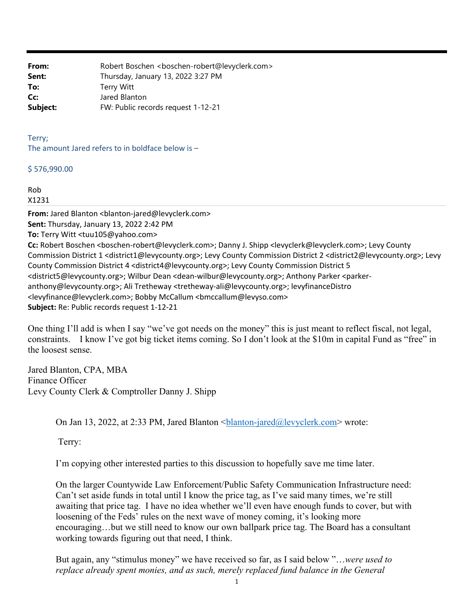**From:** Robert Boschen <boschen-robert@levyclerk.com> **Sent:** Thursday, January 13, 2022 3:27 PM **To:** Terry Witt **Cc:** Jared Blanton **Subject:** FW: Public records request 1-12-21

Terry; The amount Jared refers to in boldface below is –

\$ 576,990.00

Rob X1231

From: Jared Blanton <br />blanton-jared@levyclerk.com> **Sent:** Thursday, January 13, 2022 2:42 PM **To:** Terry Witt <tuu105@yahoo.com> **Cc:** Robert Boschen <br/>boschen-robert@levyclerk.com>; Danny J. Shipp <levyclerk@levyclerk.com>; Levy County Commission District 1 <district1@levycounty.org>; Levy County Commission District 2 <district2@levycounty.org>; Levy County Commission District 4 <district4@levycounty.org>; Levy County Commission District 5 <district5@levycounty.org>; Wilbur Dean <dean‐wilbur@levycounty.org>; Anthony Parker <parker‐ anthony@levycounty.org>; Ali Tretheway <tretheway‐ali@levycounty.org>; levyfinanceDistro <levyfinance@levyclerk.com>; Bobby McCallum <bmccallum@levyso.com> **Subject:** Re: Public records request 1‐12‐21

One thing I'll add is when I say "we've got needs on the money" this is just meant to reflect fiscal, not legal, constraints. I know I've got big ticket items coming. So I don't look at the \$10m in capital Fund as "free" in the loosest sense.

Jared Blanton, CPA, MBA Finance Officer Levy County Clerk & Comptroller Danny J. Shipp

On Jan 13, 2022, at 2:33 PM, Jared Blanton <blanton-jared@levyclerk.com> wrote:

Terry:

I'm copying other interested parties to this discussion to hopefully save me time later.

On the larger Countywide Law Enforcement/Public Safety Communication Infrastructure need: Can't set aside funds in total until I know the price tag, as I've said many times, we're still awaiting that price tag. I have no idea whether we'll even have enough funds to cover, but with loosening of the Feds' rules on the next wave of money coming, it's looking more encouraging…but we still need to know our own ballpark price tag. The Board has a consultant working towards figuring out that need, I think.

But again, any "stimulus money" we have received so far, as I said below "…*were used to replace already spent monies, and as such, merely replaced fund balance in the General*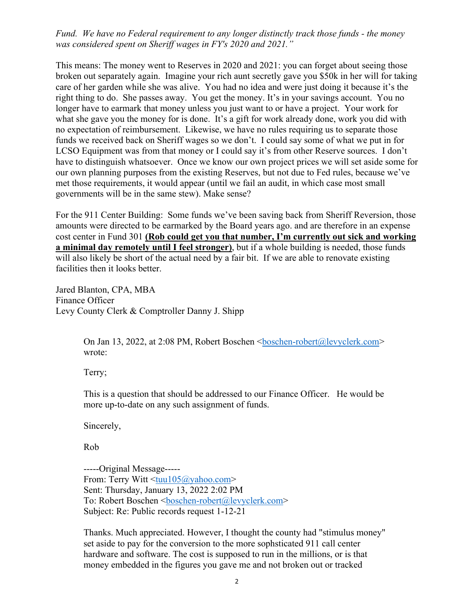## *Fund. We have no Federal requirement to any longer distinctly track those funds - the money was considered spent on Sheriff wages in FY's 2020 and 2021."*

This means: The money went to Reserves in 2020 and 2021: you can forget about seeing those broken out separately again. Imagine your rich aunt secretly gave you \$50k in her will for taking care of her garden while she was alive. You had no idea and were just doing it because it's the right thing to do. She passes away. You get the money. It's in your savings account. You no longer have to earmark that money unless you just want to or have a project. Your work for what she gave you the money for is done. It's a gift for work already done, work you did with no expectation of reimbursement. Likewise, we have no rules requiring us to separate those funds we received back on Sheriff wages so we don't. I could say some of what we put in for LCSO Equipment was from that money or I could say it's from other Reserve sources. I don't have to distinguish whatsoever. Once we know our own project prices we will set aside some for our own planning purposes from the existing Reserves, but not due to Fed rules, because we've met those requirements, it would appear (until we fail an audit, in which case most small governments will be in the same stew). Make sense?

For the 911 Center Building: Some funds we've been saving back from Sheriff Reversion, those amounts were directed to be earmarked by the Board years ago. and are therefore in an expense cost center in Fund 301 **(Rob could get you that number, I'm currently out sick and working a minimal day remotely until I feel stronger)**, but if a whole building is needed, those funds will also likely be short of the actual need by a fair bit. If we are able to renovate existing facilities then it looks better.

Jared Blanton, CPA, MBA Finance Officer Levy County Clerk & Comptroller Danny J. Shipp

> On Jan 13, 2022, at 2:08 PM, Robert Boschen <br/> <br/>boschen-robert@levyclerk.com> wrote:

Terry;

This is a question that should be addressed to our Finance Officer. He would be more up-to-date on any such assignment of funds.

Sincerely,

Rob

-----Original Message----- From: Terry Witt <tuu105@yahoo.com> Sent: Thursday, January 13, 2022 2:02 PM To: Robert Boschen <br/>boschen-robert@levyclerk.com> Subject: Re: Public records request 1-12-21

Thanks. Much appreciated. However, I thought the county had "stimulus money" set aside to pay for the conversion to the more sophsticated 911 call center hardware and software. The cost is supposed to run in the millions, or is that money embedded in the figures you gave me and not broken out or tracked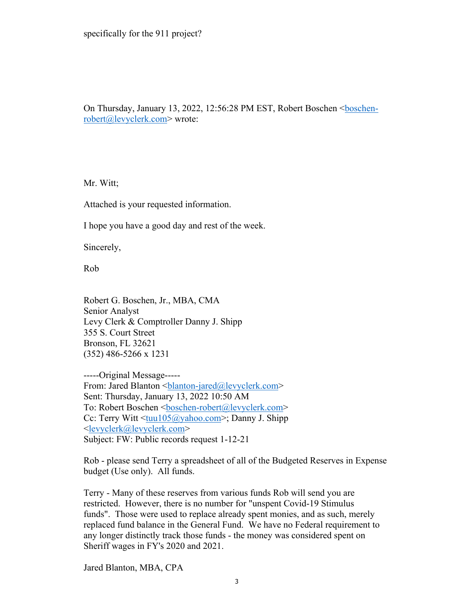On Thursday, January 13, 2022, 12:56:28 PM EST, Robert Boschenrobert@levyclerk.com> wrote:

Mr. Witt;

Attached is your requested information.

I hope you have a good day and rest of the week.

Sincerely,

Rob

Robert G. Boschen, Jr., MBA, CMA Senior Analyst Levy Clerk & Comptroller Danny J. Shipp 355 S. Court Street Bronson, FL 32621 (352) 486-5266 x 1231

-----Original Message----- From: Jared Blanton <br />
<u>blanton-jared@levyclerk.com</u>> Sent: Thursday, January 13, 2022 10:50 AM To: Robert Boschen <br/>boschen-robert@levyclerk.com> Cc: Terry Witt <tuu105@yahoo.com>; Danny J. Shipp <levyclerk@levyclerk.com> Subject: FW: Public records request 1-12-21

Rob - please send Terry a spreadsheet of all of the Budgeted Reserves in Expense budget (Use only). All funds.

Terry - Many of these reserves from various funds Rob will send you are restricted. However, there is no number for "unspent Covid-19 Stimulus funds". Those were used to replace already spent monies, and as such, merely replaced fund balance in the General Fund. We have no Federal requirement to any longer distinctly track those funds - the money was considered spent on Sheriff wages in FY's 2020 and 2021.

Jared Blanton, MBA, CPA